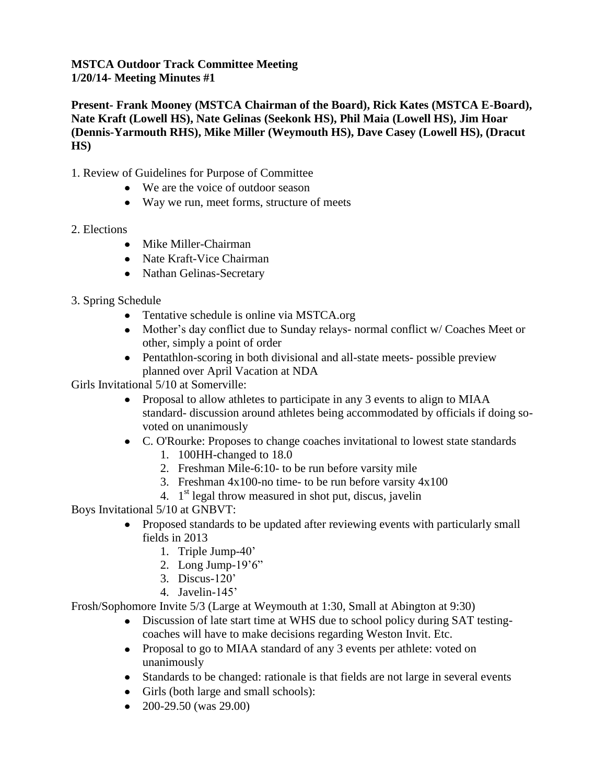## **MSTCA Outdoor Track Committee Meeting 1/20/14- Meeting Minutes #1**

**Present- Frank Mooney (MSTCA Chairman of the Board), Rick Kates (MSTCA E-Board), Nate Kraft (Lowell HS), Nate Gelinas (Seekonk HS), Phil Maia (Lowell HS), Jim Hoar (Dennis-Yarmouth RHS), Mike Miller (Weymouth HS), Dave Casey (Lowell HS), (Dracut HS)**

- 1. Review of Guidelines for Purpose of Committee
	- We are the voice of outdoor season
	- Way we run, meet forms, structure of meets
- 2. Elections
	- Mike Miller-Chairman
	- Nate Kraft-Vice Chairman
	- Nathan Gelinas-Secretary
- 3. Spring Schedule
	- Tentative schedule is online via MSTCA.org
	- Mother's day conflict due to Sunday relays- normal conflict w/ Coaches Meet or other, simply a point of order
	- Pentathlon-scoring in both divisional and all-state meets- possible preview planned over April Vacation at NDA

Girls Invitational 5/10 at Somerville:

- Proposal to allow athletes to participate in any 3 events to align to MIAA standard- discussion around athletes being accommodated by officials if doing sovoted on unanimously
- C. O'Rourke: Proposes to change coaches invitational to lowest state standards
	- 1. 100HH-changed to 18.0
	- 2. Freshman Mile-6:10- to be run before varsity mile
	- 3. Freshman 4x100-no time- to be run before varsity 4x100
	- 4. 1<sup>st</sup> legal throw measured in shot put, discus, javelin

Boys Invitational 5/10 at GNBVT:

- Proposed standards to be updated after reviewing events with particularly small fields in 2013
	- 1. Triple Jump-40'
	- 2. Long Jump-19'6"
	- 3. Discus-120'
	- 4. Javelin-145'

Frosh/Sophomore Invite 5/3 (Large at Weymouth at 1:30, Small at Abington at 9:30)

- Discussion of late start time at WHS due to school policy during SAT testingcoaches will have to make decisions regarding Weston Invit. Etc.
- Proposal to go to MIAA standard of any 3 events per athlete: voted on unanimously
- Standards to be changed: rationale is that fields are not large in several events
- Girls (both large and small schools):
- $\bullet$  200-29.50 (was 29.00)